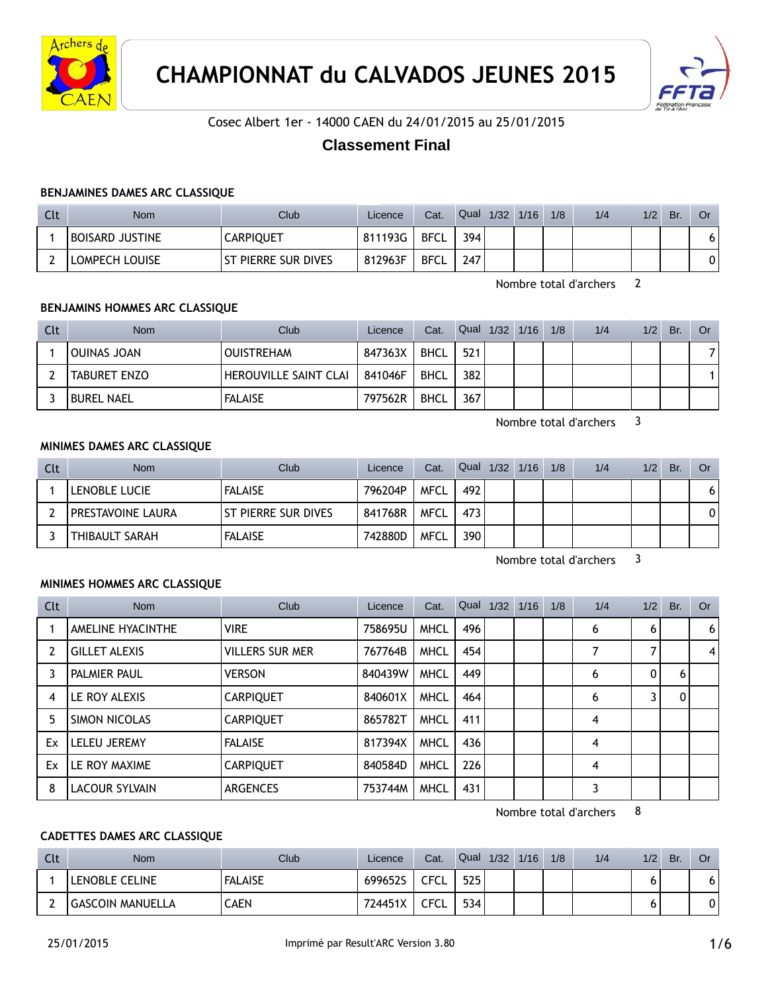



Cosec Albert 1er - 14000 CAEN du 24/01/2015 au 25/01/2015

# **Classement Final**

#### **BENJAMINES DAMES ARC CLASSIQUE**

| Clt | Nom                    | Club <sup>1</sup>   | Licence | Cat.        | Qual | 1/32 | 1/16 | 1/8 | 1/4 | 1/2 | Br. | Or |
|-----|------------------------|---------------------|---------|-------------|------|------|------|-----|-----|-----|-----|----|
|     | <b>BOISARD JUSTINE</b> | <b>CARPIQUET</b>    | 811193G | <b>BFCL</b> | 394  |      |      |     |     |     |     | 6  |
|     | LOMPECH LOUISE         | ST PIERRE SUR DIVES | 812963F | <b>BFCL</b> | 247  |      |      |     |     |     |     |    |

Nombre total d'archers 2

### **BENJAMINS HOMMES ARC CLASSIQUE**

| Clt | <b>Nom</b>          | Club                         | Licence | Cat.        | Qual 1/32 1/16 |  | 1/8 | 1/4 | 1/2 | Br. | Or. |
|-----|---------------------|------------------------------|---------|-------------|----------------|--|-----|-----|-----|-----|-----|
|     | OUINAS JOAN         | <b>OUISTREHAM</b>            | 847363X | BHCL        | 521            |  |     |     |     |     |     |
|     | <b>TABURET ENZO</b> | <b>HEROUVILLE SAINT CLAI</b> | 841046F | BHCL        | 382            |  |     |     |     |     |     |
|     | <b>BUREL NAEL</b>   | <b>FALAISE</b>               | 797562R | <b>BHCL</b> | 367            |  |     |     |     |     |     |

Nombre total d'archers 3

#### **MINIMES DAMES ARC CLASSIQUE**

| Clt | <b>Nom</b>               | Club                 | Licence | Cat.        | Qual | 1/32 | 1/16 | 1/8 | 1/4 | 1/2 | Br. | Or |
|-----|--------------------------|----------------------|---------|-------------|------|------|------|-----|-----|-----|-----|----|
|     | LENOBLE LUCIE            | <b>FALAISE</b>       | 796204P | MFCL        | 492  |      |      |     |     |     |     | 61 |
|     | <b>PRESTAVOINE LAURA</b> | lst pierre sur dives | 841768R | <b>MFCL</b> | 473  |      |      |     |     |     |     | 01 |
|     | THIBAULT SARAH           | <b>FALAISE</b>       | 742880D | <b>MFCL</b> | 390  |      |      |     |     |     |     |    |

Nombre total d'archers 3

## **MINIMES HOMMES ARC CLASSIQUE**

| Clt            | <b>Nom</b>           | Club                   | Licence | Cat.        |     | Qual 1/32 1/16 1/8 | 1/4 | 1/2          | Br. | Or |
|----------------|----------------------|------------------------|---------|-------------|-----|--------------------|-----|--------------|-----|----|
|                | AMELINE HYACINTHE    | <b>VIRE</b>            | 758695U | <b>MHCL</b> | 496 |                    | 6   | 6            |     | 6  |
| $\overline{2}$ | <b>GILLET ALEXIS</b> | <b>VILLERS SUR MER</b> | 767764B | <b>MHCL</b> | 454 |                    |     |              |     | 4  |
|                | PALMIER PAUL         | <b>VERSON</b>          | 840439W | <b>MHCL</b> | 449 |                    | 6   | $\mathbf{0}$ | 6   |    |
| 4              | LE ROY ALEXIS        | <b>CARPIQUET</b>       | 840601X | <b>MHCL</b> | 464 |                    | 6   | 3            | 0   |    |
| 5              | SIMON NICOLAS        | <b>CARPIQUET</b>       | 865782T | <b>MHCL</b> | 411 |                    | 4   |              |     |    |
| Ex             | <b>LELEU JEREMY</b>  | <b>FALAISE</b>         | 817394X | <b>MHCL</b> | 436 |                    | 4   |              |     |    |
| Ex             | LE ROY MAXIME        | <b>CARPIQUET</b>       | 840584D | <b>MHCL</b> | 226 |                    | 4   |              |     |    |
| 8              | LACOUR SYLVAIN       | <b>ARGENCES</b>        | 753744M | <b>MHCL</b> | 431 |                    | 3   |              |     |    |

Nombre total d'archers 8

# **CADETTES DAMES ARC CLASSIQUE**

| Clt | <b>Nom</b>              | <b>Club</b>    | Licence | Cat.              | Qual | 1/32 | 1/16 | 1/8 | 1/4 | 1/2 | <b>Br</b> | Or  |
|-----|-------------------------|----------------|---------|-------------------|------|------|------|-----|-----|-----|-----------|-----|
|     | LENOBLE CELINE          | <b>FALAISE</b> | 699652S | <b>CFCL</b>       | 525  |      |      |     |     |     |           | ו ס |
| ∸   | <b>GASCOIN MANUELLA</b> | CAEN           | 724451X | <b>CECL</b><br>◡∟ | 534  |      |      |     |     |     |           | 0   |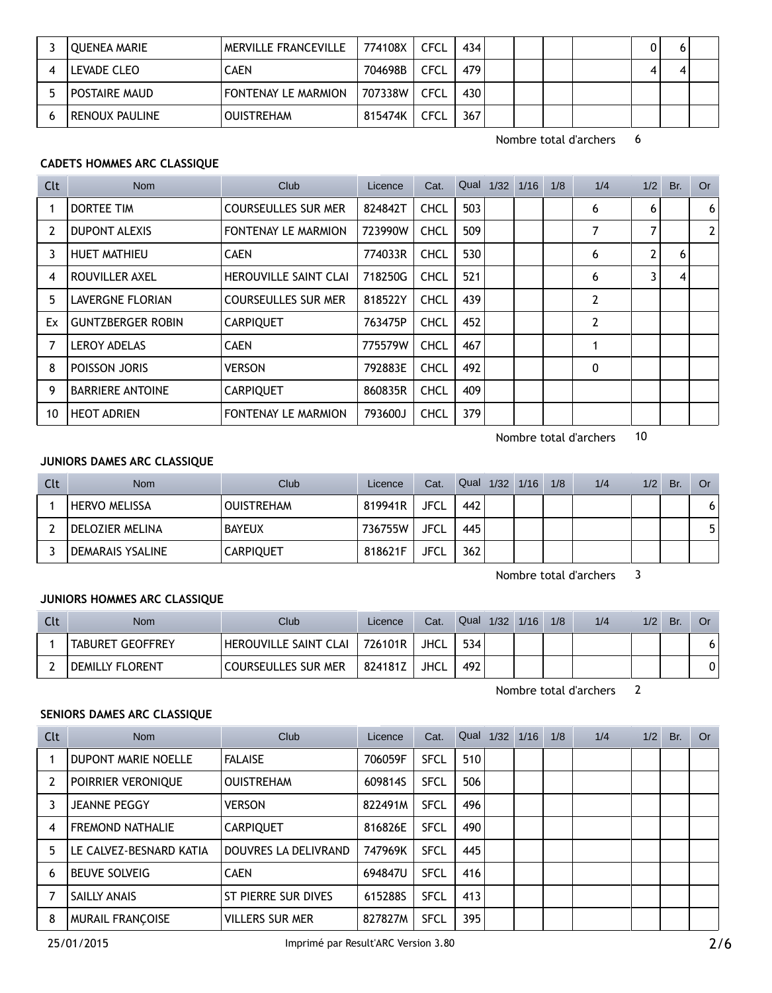| OUENEA MARIE         | <b>MERVILLE FRANCEVILLE</b> | 774108X | CFCL        | 434              |  |  |  |
|----------------------|-----------------------------|---------|-------------|------------------|--|--|--|
| LEVADE CLEO          | CAEN                        | 704698B | CFCL        | 479              |  |  |  |
| <b>POSTAIRE MAUD</b> | <b>FONTENAY LE MARMION</b>  | 707338W | <b>CFCL</b> | 430              |  |  |  |
| RENOUX PAULINE       | <b>OUISTREHAM</b>           | 815474K | CFCL        | 367 <sub>1</sub> |  |  |  |

# **CADETS HOMMES ARC CLASSIQUE**

| Clt | <b>Nom</b>               | <b>Club</b>                  | Licence | Cat.        |     | Qual 1/32 | 1/16 | 1/8 | 1/4 | 1/2 | Br. | <b>Or</b>      |
|-----|--------------------------|------------------------------|---------|-------------|-----|-----------|------|-----|-----|-----|-----|----------------|
|     | DORTEE TIM               | <b>COURSEULLES SUR MER</b>   | 824842T | <b>CHCL</b> | 503 |           |      |     | 6   | 6   |     | 6              |
| 2   | <b>DUPONT ALEXIS</b>     | FONTENAY LE MARMION          | 723990W | <b>CHCL</b> | 509 |           |      |     | 7   | 7   |     | 2 <sup>1</sup> |
| 3   | <b>HUET MATHIEU</b>      | <b>CAEN</b>                  | 774033R | <b>CHCL</b> | 530 |           |      |     | 6   | 2   | 6   |                |
| 4   | ROUVILLER AXEL           | <b>HEROUVILLE SAINT CLAI</b> | 718250G | <b>CHCL</b> | 521 |           |      |     | 6   | 3   | 4   |                |
| 5   | LAVERGNE FLORIAN         | <b>COURSEULLES SUR MER</b>   | 818522Y | <b>CHCL</b> | 439 |           |      |     | 2   |     |     |                |
| Ex  | <b>GUNTZBERGER ROBIN</b> | <b>CARPIQUET</b>             | 763475P | <b>CHCL</b> | 452 |           |      |     | 2   |     |     |                |
|     | <b>LEROY ADELAS</b>      | <b>CAEN</b>                  | 775579W | <b>CHCL</b> | 467 |           |      |     |     |     |     |                |
| 8   | POISSON JORIS            | <b>VERSON</b>                | 792883E | <b>CHCL</b> | 492 |           |      |     | 0   |     |     |                |
| 9   | <b>BARRIERE ANTOINE</b>  | <b>CARPIQUET</b>             | 860835R | <b>CHCL</b> | 409 |           |      |     |     |     |     |                |
| 10  | <b>HEOT ADRIEN</b>       | <b>FONTENAY LE MARMION</b>   | 793600J | <b>CHCL</b> | 379 |           |      |     |     |     |     |                |

Nombre total d'archers 10

#### **JUNIORS DAMES ARC CLASSIQUE**

| Clt | <b>Nom</b>           | Club              | Licence | Cat.        | Qual 1/32 1/16 |  | 1/8 | 1/4 | 1/2 | Br. | Or |
|-----|----------------------|-------------------|---------|-------------|----------------|--|-----|-----|-----|-----|----|
|     | <b>HERVO MELISSA</b> | <b>OUISTREHAM</b> | 819941R | <b>JFCL</b> | 442            |  |     |     |     |     | 6  |
|     | DELOZIER MELINA      | <b>BAYEUX</b>     | 736755W | <b>JFCL</b> | 445            |  |     |     |     |     |    |
|     | DEMARAIS YSALINE     | <b>CARPIQUET</b>  | 818621F | <b>JFCL</b> | 362            |  |     |     |     |     |    |

Nombre total d'archers 3

### **JUNIORS HOMMES ARC CLASSIQUE**

| Clt | <b>Nom</b>              | Club                         | Licence | Cat. | Qual | 1/32 1/16 | 1/8 | 1/4 | 1/2 | Br. | Or |
|-----|-------------------------|------------------------------|---------|------|------|-----------|-----|-----|-----|-----|----|
|     | <b>TABURET GEOFFREY</b> | <b>HEROUVILLE SAINT CLAI</b> | 726101R | JHCL | 534  |           |     |     |     |     |    |
|     | <b>DEMILLY FLORENT</b>  | COURSEULLES SUR MER          | 824181Z | JHCL | 492  |           |     |     |     |     | 0  |

Nombre total d'archers 2

# **SENIORS DAMES ARC CLASSIQUE**

| <b>Clt</b> | Nom                     | Club                   | Licence | Cat.        | Qual 1/32 | $1/16$ $1/8$ | 1/4 | 1/2 | Br. | <b>Or</b> |
|------------|-------------------------|------------------------|---------|-------------|-----------|--------------|-----|-----|-----|-----------|
|            | DUPONT MARIE NOELLE     | <b>FALAISE</b>         | 706059F | <b>SFCL</b> | 510       |              |     |     |     |           |
|            | POIRRIER VERONIQUE      | <b>OUISTREHAM</b>      | 609814S | <b>SFCL</b> | 506       |              |     |     |     |           |
|            | JEANNE PEGGY            | <b>VERSON</b>          | 822491M | <b>SFCL</b> | 496       |              |     |     |     |           |
| 4          | <b>FREMOND NATHALIE</b> | <b>CARPIQUET</b>       | 816826E | <b>SFCL</b> | 490       |              |     |     |     |           |
| 5          | LE CALVEZ-BESNARD KATIA | DOUVRES LA DELIVRAND   | 747969K | <b>SFCL</b> | 445       |              |     |     |     |           |
| 6          | <b>BEUVE SOLVEIG</b>    | <b>CAEN</b>            | 694847U | <b>SFCL</b> | 416       |              |     |     |     |           |
|            | <b>SAILLY ANAIS</b>     | ST PIERRE SUR DIVES    | 615288S | <b>SFCL</b> | 413       |              |     |     |     |           |
| 8          | MURAIL FRANÇOISE        | <b>VILLERS SUR MER</b> | 827827M | <b>SFCL</b> | 3951      |              |     |     |     |           |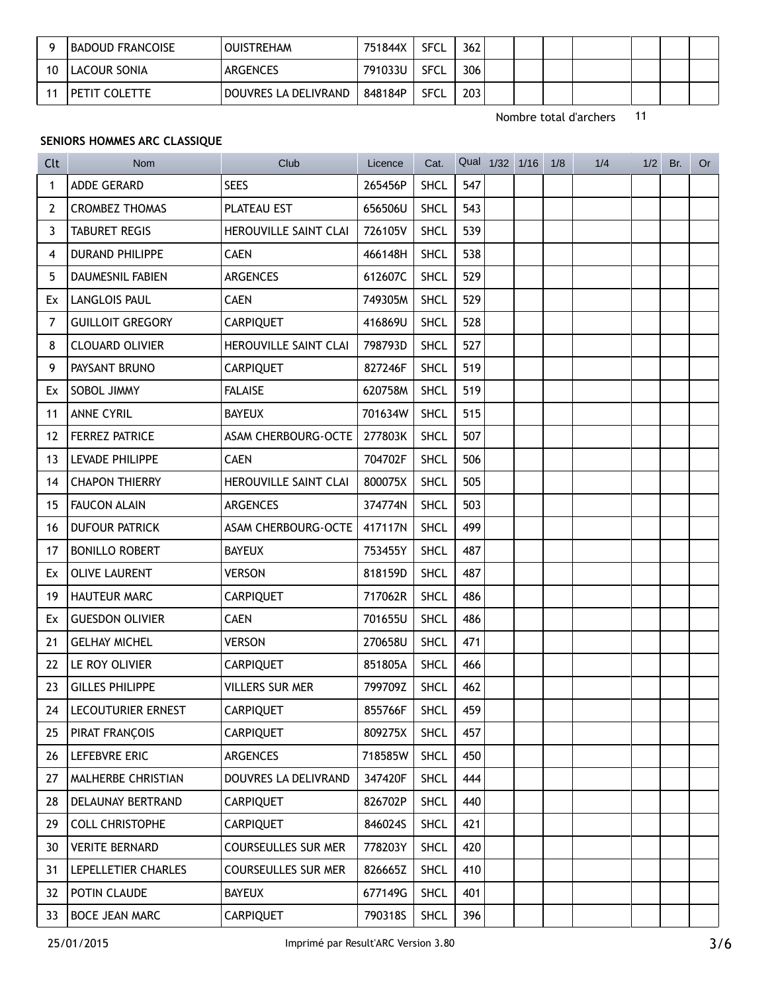|    | BADOUD FRANCOISE | OUISTREHAM             | 751844X | SFCL        | 362 |  |  |  |  |
|----|------------------|------------------------|---------|-------------|-----|--|--|--|--|
| 10 | LACOUR SONIA     | <b>ARGENCES</b>        | 791033U | <b>SFCL</b> | 306 |  |  |  |  |
|    | ' PETIT COLETTE  | ' DOUVRES LA DELIVRAND | 848184P | <b>SFCL</b> | 203 |  |  |  |  |

# SENIORS HOMMES ARC CLASSIQUE

| Clt            | <b>Nom</b>                | Club                         | Licence | Cat.        |     | Qual 1/32 1/16 | 1/8 | 1/4 | 1/2 | Br. | Or |
|----------------|---------------------------|------------------------------|---------|-------------|-----|----------------|-----|-----|-----|-----|----|
| 1              | ADDE GERARD               | <b>SEES</b>                  | 265456P | <b>SHCL</b> | 547 |                |     |     |     |     |    |
| 2              | <b>CROMBEZ THOMAS</b>     | PLATEAU EST                  | 656506U | <b>SHCL</b> | 543 |                |     |     |     |     |    |
| 3              | <b>TABURET REGIS</b>      | HEROUVILLE SAINT CLAI        | 726105V | <b>SHCL</b> | 539 |                |     |     |     |     |    |
| 4              | <b>DURAND PHILIPPE</b>    | <b>CAEN</b>                  | 466148H | <b>SHCL</b> | 538 |                |     |     |     |     |    |
| 5              | <b>DAUMESNIL FABIEN</b>   | <b>ARGENCES</b>              | 612607C | <b>SHCL</b> | 529 |                |     |     |     |     |    |
| Ex             | <b>LANGLOIS PAUL</b>      | <b>CAEN</b>                  | 749305M | <b>SHCL</b> | 529 |                |     |     |     |     |    |
| $\overline{7}$ | <b>GUILLOIT GREGORY</b>   | <b>CARPIQUET</b>             | 416869U | <b>SHCL</b> | 528 |                |     |     |     |     |    |
| 8              | <b>CLOUARD OLIVIER</b>    | HEROUVILLE SAINT CLAI        | 798793D | <b>SHCL</b> | 527 |                |     |     |     |     |    |
| 9              | PAYSANT BRUNO             | <b>CARPIQUET</b>             | 827246F | <b>SHCL</b> | 519 |                |     |     |     |     |    |
| Ex             | SOBOL JIMMY               | <b>FALAISE</b>               | 620758M | <b>SHCL</b> | 519 |                |     |     |     |     |    |
| 11             | <b>ANNE CYRIL</b>         | <b>BAYEUX</b>                | 701634W | <b>SHCL</b> | 515 |                |     |     |     |     |    |
| 12             | <b>FERREZ PATRICE</b>     | ASAM CHERBOURG-OCTE          | 277803K | <b>SHCL</b> | 507 |                |     |     |     |     |    |
| 13             | LEVADE PHILIPPE           | <b>CAEN</b>                  | 704702F | <b>SHCL</b> | 506 |                |     |     |     |     |    |
| 14             | <b>CHAPON THIERRY</b>     | <b>HEROUVILLE SAINT CLAI</b> | 800075X | <b>SHCL</b> | 505 |                |     |     |     |     |    |
| 15             | <b>FAUCON ALAIN</b>       | <b>ARGENCES</b>              | 374774N | <b>SHCL</b> | 503 |                |     |     |     |     |    |
| 16             | <b>DUFOUR PATRICK</b>     | ASAM CHERBOURG-OCTE          | 417117N | <b>SHCL</b> | 499 |                |     |     |     |     |    |
| 17             | <b>BONILLO ROBERT</b>     | <b>BAYEUX</b>                | 753455Y | <b>SHCL</b> | 487 |                |     |     |     |     |    |
| Ex.            | <b>OLIVE LAURENT</b>      | <b>VERSON</b>                | 818159D | <b>SHCL</b> | 487 |                |     |     |     |     |    |
| 19             | <b>HAUTEUR MARC</b>       | <b>CARPIQUET</b>             | 717062R | <b>SHCL</b> | 486 |                |     |     |     |     |    |
| Ex             | <b>GUESDON OLIVIER</b>    | <b>CAEN</b>                  | 701655U | <b>SHCL</b> | 486 |                |     |     |     |     |    |
| 21             | <b>GELHAY MICHEL</b>      | <b>VERSON</b>                | 270658U | <b>SHCL</b> | 471 |                |     |     |     |     |    |
| 22             | LE ROY OLIVIER            | <b>CARPIQUET</b>             | 851805A | <b>SHCL</b> | 466 |                |     |     |     |     |    |
| 23             | <b>GILLES PHILIPPE</b>    | VILLERS SUR MER              | 799709Z | <b>SHCL</b> | 462 |                |     |     |     |     |    |
| 24             | LECOUTURIER ERNEST        | <b>CARPIQUET</b>             | 855766F | <b>SHCL</b> | 459 |                |     |     |     |     |    |
| 25             | PIRAT FRANÇOIS            | <b>CARPIQUET</b>             | 809275X | SHCL        | 457 |                |     |     |     |     |    |
| 26             | Lefebvre eric             | ARGENCES                     | 718585W | <b>SHCL</b> | 450 |                |     |     |     |     |    |
| 27             | <b>MALHERBE CHRISTIAN</b> | DOUVRES LA DELIVRAND         | 347420F | <b>SHCL</b> | 444 |                |     |     |     |     |    |
| 28             | DELAUNAY BERTRAND         | <b>CARPIQUET</b>             | 826702P | <b>SHCL</b> | 440 |                |     |     |     |     |    |
| 29             | <b>COLL CHRISTOPHE</b>    | <b>CARPIQUET</b>             | 846024S | <b>SHCL</b> | 421 |                |     |     |     |     |    |
| 30             | <b>VERITE BERNARD</b>     | <b>COURSEULLES SUR MER</b>   | 778203Y | <b>SHCL</b> | 420 |                |     |     |     |     |    |
| 31             | LEPELLETIER CHARLES       | <b>COURSEULLES SUR MER</b>   | 826665Z | <b>SHCL</b> | 410 |                |     |     |     |     |    |
| 32             | POTIN CLAUDE              | <b>BAYEUX</b>                | 677149G | <b>SHCL</b> | 401 |                |     |     |     |     |    |
| 33             | BOCE JEAN MARC            | <b>CARPIQUET</b>             | 790318S | SHCL        | 396 |                |     |     |     |     |    |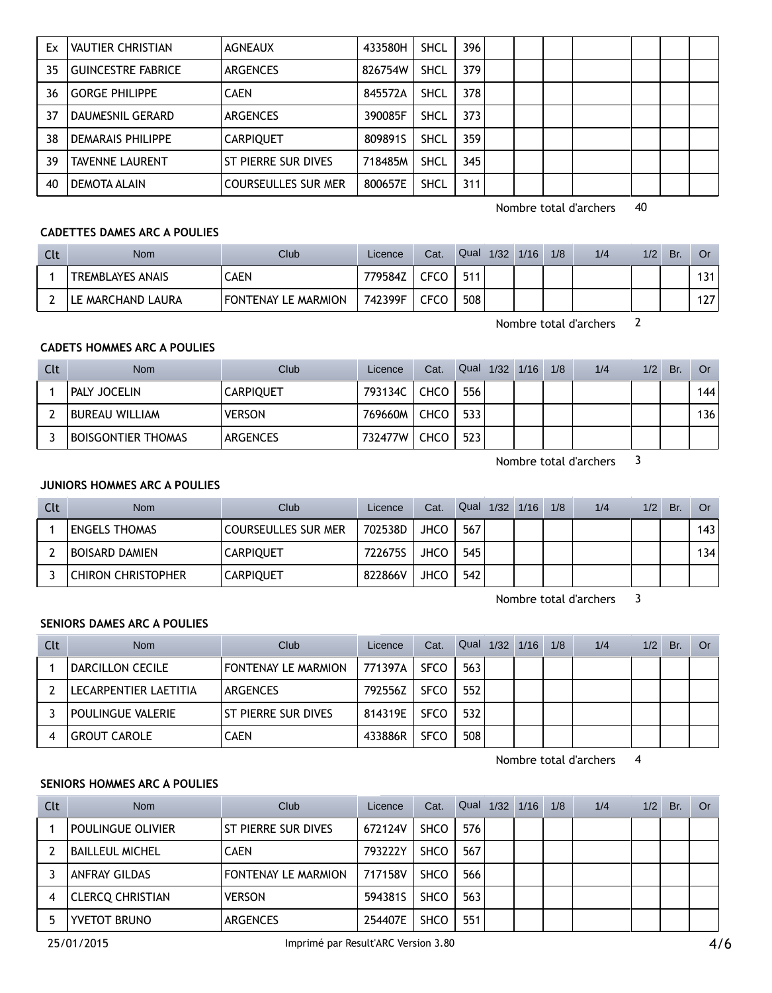| Ex | <b>VAUTIER CHRISTIAN</b>  | <b>AGNEAUX</b>             | 433580H | <b>SHCL</b> | 396 |  |  |  |
|----|---------------------------|----------------------------|---------|-------------|-----|--|--|--|
| 35 | <b>GUINCESTRE FABRICE</b> | <b>ARGENCES</b>            | 826754W | <b>SHCL</b> | 379 |  |  |  |
| 36 | <b>GORGE PHILIPPE</b>     | <b>CAEN</b>                | 845572A | <b>SHCL</b> | 378 |  |  |  |
| 37 | DAUMESNIL GERARD          | <b>ARGENCES</b>            | 390085F | <b>SHCL</b> | 373 |  |  |  |
| 38 | <b>DEMARAIS PHILIPPE</b>  | <b>CARPIQUET</b>           | 8098915 | <b>SHCL</b> | 359 |  |  |  |
| 39 | <b>TAVENNE LAURENT</b>    | ST PIERRE SUR DIVES        | 718485M | <b>SHCL</b> | 345 |  |  |  |
| 40 | DEMOTA ALAIN              | <b>COURSEULLES SUR MER</b> | 800657E | <b>SHCL</b> | 311 |  |  |  |

## **CADETTES DAMES ARC A POULIES**

| Clt | <b>Nom</b>              | <b>Club</b>         | Licence | Cat.        | Qual | 1/32 | 1/16 | 1/8 | 1/4 | 1/2 | Br. | 0r  |
|-----|-------------------------|---------------------|---------|-------------|------|------|------|-----|-----|-----|-----|-----|
|     | <b>TREMBLAYES ANAIS</b> | CAEN                | 779584Z | CFCO        | 511  |      |      |     |     |     |     | 131 |
|     | LE MARCHAND LAURA       | FONTENAY LE MARMION | 742399F | <b>CFCO</b> | 508  |      |      |     |     |     |     | 127 |

Nombre total d'archers 2

# **CADETS HOMMES ARC A POULIES**

| Clt | <b>Nom</b>                | Club             | Licence | Cat. | Qual 1/32 1/16 |  | 1/8 | 1/4 | 1/2 | Br. | Or. |
|-----|---------------------------|------------------|---------|------|----------------|--|-----|-----|-----|-----|-----|
|     | <b>PALY JOCELIN</b>       | <b>CARPIQUET</b> | 793134C | CHCO | 556            |  |     |     |     |     | 144 |
|     | <b>BUREAU WILLIAM</b>     | <b>VERSON</b>    | 769660M | CHCO | 533            |  |     |     |     |     | 136 |
|     | <b>BOISGONTIER THOMAS</b> | <b>ARGENCES</b>  | 732477W | CHCO | 523            |  |     |     |     |     |     |

Nombre total d'archers 3

# **JUNIORS HOMMES ARC A POULIES**

| Clt | <b>Nom</b>                | Club                       | Licence | Cat.        |     | Qual $1/32$ | 1/16 | 1/8 | 1/4 | 1/2 | Br. | <b>Or</b> |
|-----|---------------------------|----------------------------|---------|-------------|-----|-------------|------|-----|-----|-----|-----|-----------|
|     | <b>ENGELS THOMAS</b>      | <b>COURSEULLES SUR MER</b> | 702538D | <b>JHCO</b> | 567 |             |      |     |     |     |     | 143       |
|     | BOISARD DAMIEN            | <b>CARPIQUET</b>           | 722675S | JHCO        | 545 |             |      |     |     |     |     | 134       |
|     | <b>CHIRON CHRISTOPHER</b> | <b>CARPIQUET</b>           | 822866V | <b>JHCO</b> | 542 |             |      |     |     |     |     |           |

Nombre total d'archers 3

#### **SENIORS DAMES ARC A POULIES**

| Clt | <b>Nom</b>            | Club                       | Licence | Cat.        | Qual 1/32 1/16 |  | 1/8 | 1/4 | 1/2 | Br. | Or |
|-----|-----------------------|----------------------------|---------|-------------|----------------|--|-----|-----|-----|-----|----|
|     | DARCILLON CECILE      | <b>FONTENAY LE MARMION</b> | 771397A | <b>SFCO</b> | 563            |  |     |     |     |     |    |
|     | LECARPENTIER LAETITIA | <b>ARGENCES</b>            | 792556Z | <b>SFCO</b> | 552            |  |     |     |     |     |    |
|     | POULINGUE VALERIE     | ST PIERRE SUR DIVES        | 814319E | <b>SFCO</b> | 532            |  |     |     |     |     |    |
|     | ' GROUT CAROLE        | <b>CAEN</b>                | 433886R | <b>SFCO</b> | 508            |  |     |     |     |     |    |

Nombre total d'archers 4

# **SENIORS HOMMES ARC A POULIES**

| Clt | <b>Nom</b>               | Club                       | Licence | Cat.        | Qual | 1/32 | 1/16 | 1/8 | 1/4 | 1/2 | Br. | Or |
|-----|--------------------------|----------------------------|---------|-------------|------|------|------|-----|-----|-----|-----|----|
|     | <b>POULINGUE OLIVIER</b> | ST PIERRE SUR DIVES        | 672124V | <b>SHCO</b> | 576  |      |      |     |     |     |     |    |
|     | <b>BAILLEUL MICHEL</b>   | <b>CAEN</b>                | 793222Y | <b>SHCO</b> | 567  |      |      |     |     |     |     |    |
|     | <b>ANFRAY GILDAS</b>     | <b>FONTENAY LE MARMION</b> | 717158V | <b>SHCO</b> | 566  |      |      |     |     |     |     |    |
|     | <b>CLERCO CHRISTIAN</b>  | <b>VERSON</b>              | 594381S | <b>SHCO</b> | 563  |      |      |     |     |     |     |    |
|     | <b>YVETOT BRUNO</b>      | <b>ARGENCES</b>            | 254407E | <b>SHCO</b> | 551  |      |      |     |     |     |     |    |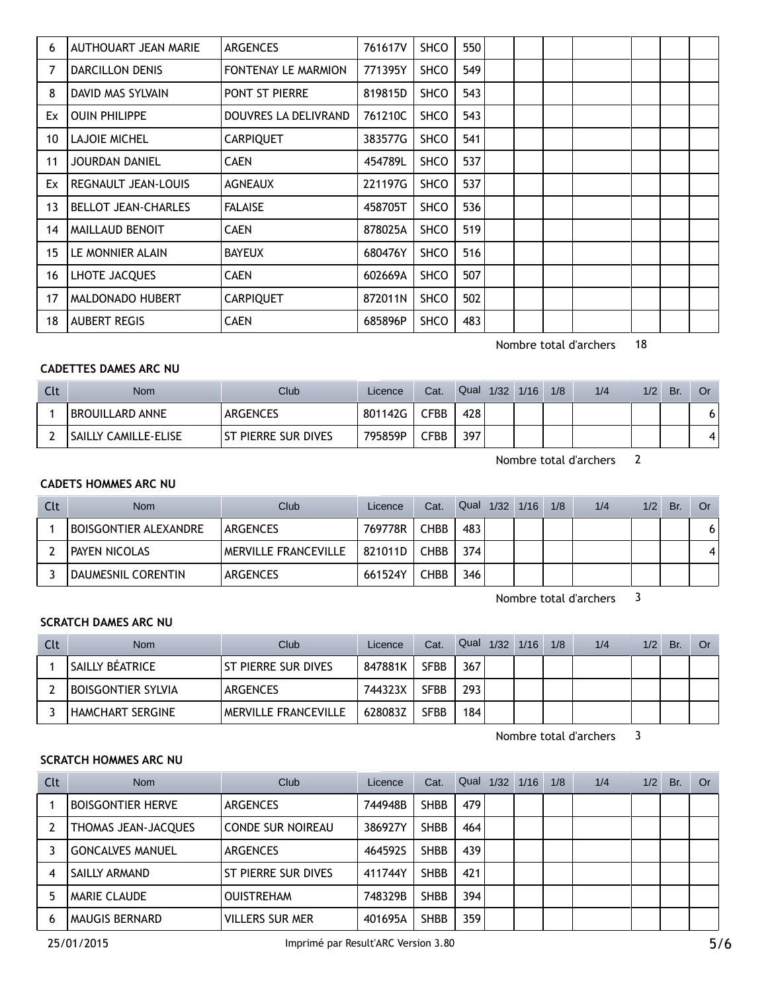| 6  | AUTHOUART JEAN MARIE       | <b>ARGENCES</b>            | 761617V | <b>SHCO</b> | 550 |  |  |  |  |
|----|----------------------------|----------------------------|---------|-------------|-----|--|--|--|--|
| 7  | <b>DARCILLON DENIS</b>     | <b>FONTENAY LE MARMION</b> | 771395Y | <b>SHCO</b> | 549 |  |  |  |  |
| 8  | DAVID MAS SYLVAIN          | <b>PONT ST PIERRE</b>      | 819815D | <b>SHCO</b> | 543 |  |  |  |  |
| Ex | <b>OUIN PHILIPPE</b>       | DOUVRES LA DELIVRAND       | 761210C | <b>SHCO</b> | 543 |  |  |  |  |
| 10 | <b>LAJOIE MICHEL</b>       | <b>CARPIQUET</b>           | 383577G | <b>SHCO</b> | 541 |  |  |  |  |
| 11 | <b>JOURDAN DANIEL</b>      | <b>CAEN</b>                | 454789L | <b>SHCO</b> | 537 |  |  |  |  |
| Ex | REGNAULT JEAN-LOUIS        | <b>AGNEAUX</b>             | 221197G | <b>SHCO</b> | 537 |  |  |  |  |
| 13 | <b>BELLOT JEAN-CHARLES</b> | <b>FALAISE</b>             | 458705T | <b>SHCO</b> | 536 |  |  |  |  |
| 14 | MAILLAUD BENOIT            | <b>CAEN</b>                | 878025A | <b>SHCO</b> | 519 |  |  |  |  |
| 15 | LE MONNIER ALAIN           | <b>BAYEUX</b>              | 680476Y | <b>SHCO</b> | 516 |  |  |  |  |
| 16 | LHOTE JACQUES              | <b>CAEN</b>                | 602669A | <b>SHCO</b> | 507 |  |  |  |  |
| 17 | MALDONADO HUBERT           | <b>CARPIQUET</b>           | 872011N | <b>SHCO</b> | 502 |  |  |  |  |
| 18 | <b>AUBERT REGIS</b>        | <b>CAEN</b>                | 685896P | <b>SHCO</b> | 483 |  |  |  |  |

# **CADETTES DAMES ARC NU**

| Clt | <b>Nom</b>             | Club <sup>1</sup>     | Licence | Cat.            | Qual | 1/32 | 1/16 | 1/8 | 1/4 | 1/2 | Br. | Or  |
|-----|------------------------|-----------------------|---------|-----------------|------|------|------|-----|-----|-----|-----|-----|
|     | <b>BROUILLARD ANNE</b> | <b>ARGENCES</b>       | 801142G | ⊆FBB.           | 428  |      |      |     |     |     |     | 6 i |
|     | I SAILLY CAMILLE-ELISE | l ST PIERRE SUR DIVES | 795859P | $\mathsf{CFBB}$ | 397  |      |      |     |     |     |     | 4   |

Nombre total d'archers 2

## **CADETS HOMMES ARC NU**

| Clt | <b>Nom</b>                   | Club                 | Licence | Cat.        | Qual 1/32 1/16 |  | 1/8 | 1/4 | 1/2 | Br. | Or |
|-----|------------------------------|----------------------|---------|-------------|----------------|--|-----|-----|-----|-----|----|
|     | <b>BOISGONTIER ALEXANDRE</b> | ARGENCES             | 769778R | <b>CHBB</b> | 483            |  |     |     |     |     | 6  |
|     | <b>PAYEN NICOLAS</b>         | MERVILLE FRANCEVILLE | 821011D | <b>CHBB</b> | 374            |  |     |     |     |     |    |
|     | DAUMESNIL CORENTIN           | ARGENCES             | 661524Y | CHBB        | 346            |  |     |     |     |     |    |

Nombre total d'archers 3

## **SCRATCH DAMES ARC NU**

| Clt | Nom                       | Club                        | Licence | Cat.        | Qual 1/32 1/16 |  | 1/8 | 1/4 | 1/2 | Br. | Or |
|-----|---------------------------|-----------------------------|---------|-------------|----------------|--|-----|-----|-----|-----|----|
|     | <b>SAILLY BÉATRICE</b>    | ST PIERRE SUR DIVES         | 847881K | <b>SFBB</b> | 367            |  |     |     |     |     |    |
|     | <b>BOISGONTIER SYLVIA</b> | <b>ARGENCES</b>             | 744323X | <b>SFBB</b> | 293            |  |     |     |     |     |    |
|     | <b>HAMCHART SERGINE</b>   | <b>MERVILLE FRANCEVILLE</b> | 628083Z | SFBB        | 184            |  |     |     |     |     |    |

Nombre total d'archers 3

# **SCRATCH HOMMES ARC NU**

| Clt | <b>Nom</b>               | Club                     | Licence | Cat.        | Qual | 1/32 | 1/16 | 1/8 | 1/4 | 1/2 | Br. | . Or |
|-----|--------------------------|--------------------------|---------|-------------|------|------|------|-----|-----|-----|-----|------|
|     | <b>BOISGONTIER HERVE</b> | <b>ARGENCES</b>          | 744948B | <b>SHBB</b> | 479  |      |      |     |     |     |     |      |
|     | THOMAS JEAN-JACQUES      | <b>CONDE SUR NOIREAU</b> | 386927Y | <b>SHBB</b> | 464  |      |      |     |     |     |     |      |
|     | <b>GONCALVES MANUEL</b>  | <b>ARGENCES</b>          | 464592S | <b>SHBB</b> | 439  |      |      |     |     |     |     |      |
|     | SAILLY ARMAND            | ST PIERRE SUR DIVES      | 411744Y | <b>SHBB</b> | 421  |      |      |     |     |     |     |      |
|     | <b>MARIE CLAUDE</b>      | <b>OUISTREHAM</b>        | 748329B | <b>SHBB</b> | 394  |      |      |     |     |     |     |      |
| b   | MAUGIS BERNARD           | <b>VILLERS SUR MER</b>   | 401695A | <b>SHBB</b> | 359  |      |      |     |     |     |     |      |